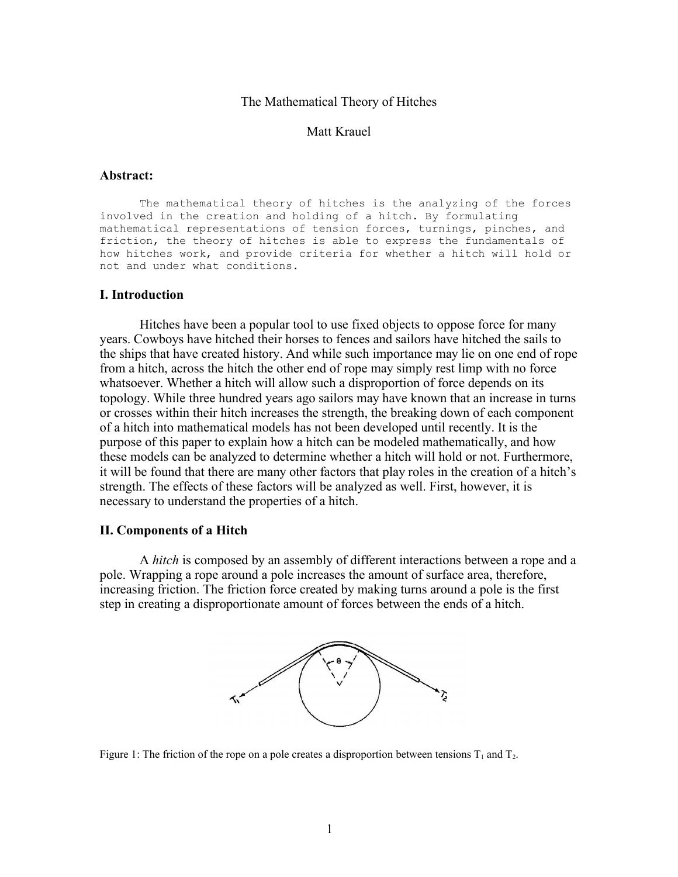#### The Mathematical Theory of Hitches

### Matt Krauel

### **Abstract:**

The mathematical theory of hitches is the analyzing of the forces involved in the creation and holding of a hitch. By formulating mathematical representations of tension forces, turnings, pinches, and friction, the theory of hitches is able to express the fundamentals of how hitches work, and provide criteria for whether a hitch will hold or not and under what conditions.

### **I. Introduction**

Hitches have been a popular tool to use fixed objects to oppose force for many years. Cowboys have hitched their horses to fences and sailors have hitched the sails to the ships that have created history. And while such importance may lie on one end of rope from a hitch, across the hitch the other end of rope may simply rest limp with no force whatsoever. Whether a hitch will allow such a disproportion of force depends on its topology. While three hundred years ago sailors may have known that an increase in turns or crosses within their hitch increases the strength, the breaking down of each component of a hitch into mathematical models has not been developed until recently. It is the purpose of this paper to explain how a hitch can be modeled mathematically, and how these models can be analyzed to determine whether a hitch will hold or not. Furthermore, it will be found that there are many other factors that play roles in the creation of a hitch's strength. The effects of these factors will be analyzed as well. First, however, it is necessary to understand the properties of a hitch.

### **II. Components of a Hitch**

A *hitch* is composed by an assembly of different interactions between a rope and a pole. Wrapping a rope around a pole increases the amount of surface area, therefore, increasing friction. The friction force created by making turns around a pole is the first step in creating a disproportionate amount of forces between the ends of a hitch.



Figure 1: The friction of the rope on a pole creates a disproportion between tensions  $T_1$  and  $T_2$ .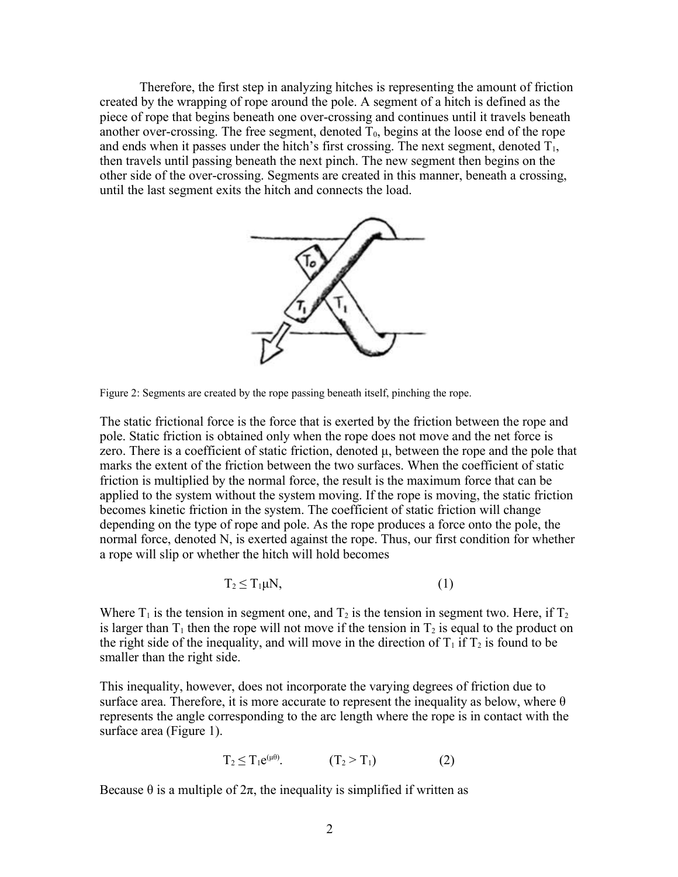Therefore, the first step in analyzing hitches is representing the amount of friction created by the wrapping of rope around the pole. A segment of a hitch is defined as the piece of rope that begins beneath one over-crossing and continues until it travels beneath another over-crossing. The free segment, denoted  $\overline{T}_0$ , begins at the loose end of the rope and ends when it passes under the hitch's first crossing. The next segment, denoted  $T_1$ , then travels until passing beneath the next pinch. The new segment then begins on the other side of the over-crossing. Segments are created in this manner, beneath a crossing, until the last segment exits the hitch and connects the load.



Figure 2: Segments are created by the rope passing beneath itself, pinching the rope.

The static frictional force is the force that is exerted by the friction between the rope and pole. Static friction is obtained only when the rope does not move and the net force is zero. There is a coefficient of static friction, denoted  $\mu$ , between the rope and the pole that marks the extent of the friction between the two surfaces. When the coefficient of static friction is multiplied by the normal force, the result is the maximum force that can be applied to the system without the system moving. If the rope is moving, the static friction becomes kinetic friction in the system. The coefficient of static friction will change depending on the type of rope and pole. As the rope produces a force onto the pole, the normal force, denoted N, is exerted against the rope. Thus, our first condition for whether a rope will slip or whether the hitch will hold becomes

$$
T_2 \leq T_1 \mu N, \tag{1}
$$

Where  $T_1$  is the tension in segment one, and  $T_2$  is the tension in segment two. Here, if  $T_2$ is larger than  $T_1$  then the rope will not move if the tension in  $T_2$  is equal to the product on the right side of the inequality, and will move in the direction of  $T_1$  if  $T_2$  is found to be smaller than the right side.

This inequality, however, does not incorporate the varying degrees of friction due to surface area. Therefore, it is more accurate to represent the inequality as below, where  $\theta$ represents the angle corresponding to the arc length where the rope is in contact with the surface area (Figure 1).

$$
T_2 \leq T_1 e^{(\mu \theta)}.\tag{2}
$$

Because  $\theta$  is a multiple of  $2\pi$ , the inequality is simplified if written as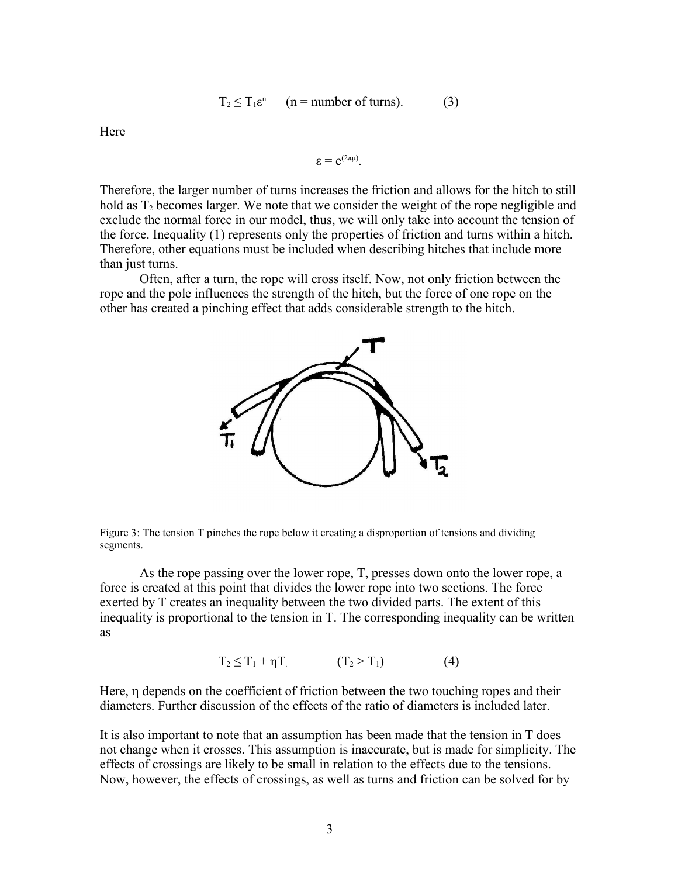$$
T_2 \le T_1 \varepsilon^n \qquad (n = number of turns). \tag{3}
$$

**Here** 

$$
\epsilon = e^{(2\pi\mu)}.
$$

Therefore, the larger number of turns increases the friction and allows for the hitch to still hold as  $T_2$  becomes larger. We note that we consider the weight of the rope negligible and exclude the normal force in our model, thus, we will only take into account the tension of the force. Inequality (1) represents only the properties of friction and turns within a hitch. Therefore, other equations must be included when describing hitches that include more than just turns.

Often, after a turn, the rope will cross itself. Now, not only friction between the rope and the pole influences the strength of the hitch, but the force of one rope on the other has created a pinching effect that adds considerable strength to the hitch.



Figure 3: The tension T pinches the rope below it creating a disproportion of tensions and dividing segments.

As the rope passing over the lower rope, T, presses down onto the lower rope, a force is created at this point that divides the lower rope into two sections. The force exerted by T creates an inequality between the two divided parts. The extent of this inequality is proportional to the tension in T. The corresponding inequality can be written as

$$
T_2 \leq T_1 + \eta T \tag{4}
$$

Here, η depends on the coefficient of friction between the two touching ropes and their diameters. Further discussion of the effects of the ratio of diameters is included later.

It is also important to note that an assumption has been made that the tension in T does not change when it crosses. This assumption is inaccurate, but is made for simplicity. The effects of crossings are likely to be small in relation to the effects due to the tensions. Now, however, the effects of crossings, as well as turns and friction can be solved for by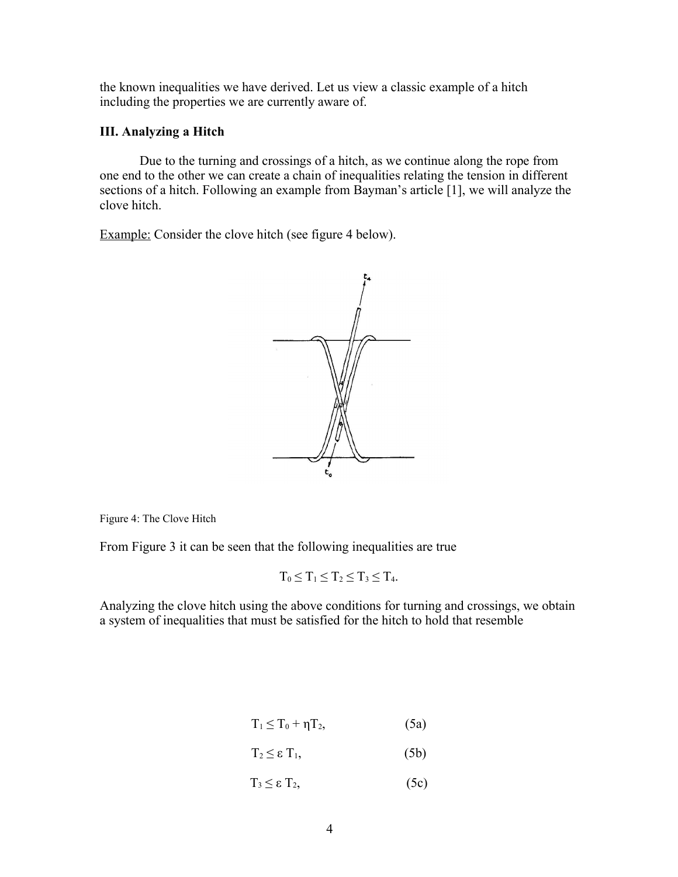the known inequalities we have derived. Let us view a classic example of a hitch including the properties we are currently aware of.

## **III. Analyzing a Hitch**

Due to the turning and crossings of a hitch, as we continue along the rope from one end to the other we can create a chain of inequalities relating the tension in different sections of a hitch. Following an example from Bayman's article [1], we will analyze the clove hitch.

Example: Consider the clove hitch (see figure 4 below).



Figure 4: The Clove Hitch

From Figure 3 it can be seen that the following inequalities are true

$$
T_0\leq T_1\leq T_2\leq T_3\leq T_4.
$$

Analyzing the clove hitch using the above conditions for turning and crossings, we obtain a system of inequalities that must be satisfied for the hitch to hold that resemble

$$
T_1 \leq T_0 + \eta T_2, \tag{5a}
$$

- $T_2 \leq \varepsilon T_1$ , (5b)
- $T_3 \leq \varepsilon T_2$ , (5c)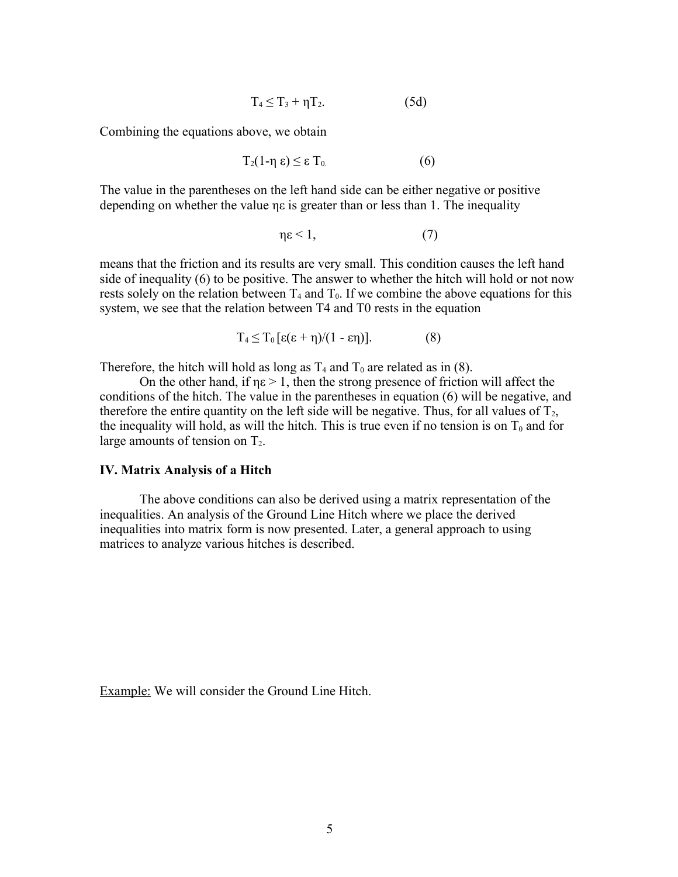$$
T_4 \le T_3 + \eta T_2. \tag{5d}
$$

Combining the equations above, we obtain

$$
T_2(1-\eta \epsilon) \leq \epsilon T_0 \tag{6}
$$

The value in the parentheses on the left hand side can be either negative or positive depending on whether the value ηε is greater than or less than 1. The inequality

$$
\eta \varepsilon < 1,\tag{7}
$$

means that the friction and its results are very small. This condition causes the left hand side of inequality (6) to be positive. The answer to whether the hitch will hold or not now rests solely on the relation between  $T_4$  and  $T_0$ . If we combine the above equations for this system, we see that the relation between T4 and T0 rests in the equation

$$
T_4 \le T_0 \left[ \varepsilon (\varepsilon + \eta) / (1 - \varepsilon \eta) \right]. \tag{8}
$$

Therefore, the hitch will hold as long as  $T_4$  and  $T_0$  are related as in (8).

On the other hand, if  $\eta \varepsilon > 1$ , then the strong presence of friction will affect the conditions of the hitch. The value in the parentheses in equation (6) will be negative, and therefore the entire quantity on the left side will be negative. Thus, for all values of  $T_2$ , the inequality will hold, as will the hitch. This is true even if no tension is on  $T_0$  and for large amounts of tension on  $T_2$ .

### **IV. Matrix Analysis of a Hitch**

The above conditions can also be derived using a matrix representation of the inequalities. An analysis of the Ground Line Hitch where we place the derived inequalities into matrix form is now presented. Later, a general approach to using matrices to analyze various hitches is described.

Example: We will consider the Ground Line Hitch.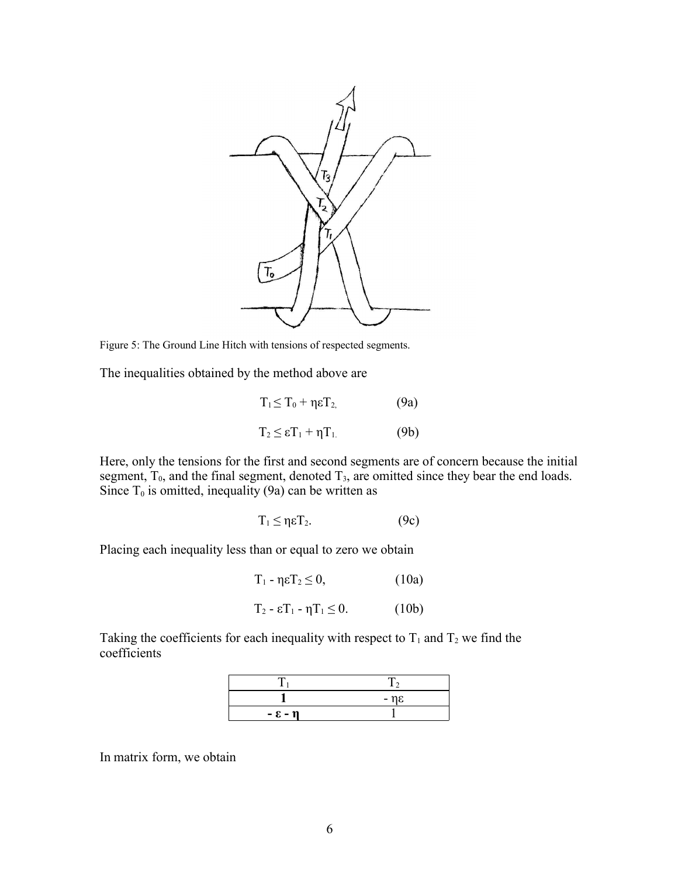

Figure 5: The Ground Line Hitch with tensions of respected segments.

The inequalities obtained by the method above are

| $T_1 \leq T_0 + \eta \epsilon T_2$ | (9a) |
|------------------------------------|------|
| $T_2 \leq \epsilon T_1 + \eta T_1$ | (9b) |

Here, only the tensions for the first and second segments are of concern because the initial segment,  $T_0$ , and the final segment, denoted  $T_3$ , are omitted since they bear the end loads. Since  $T_0$  is omitted, inequality (9a) can be written as

$$
T_1 \leq \eta \epsilon T_2. \tag{9c}
$$

Placing each inequality less than or equal to zero we obtain

| (10a)<br>$T_1$ - ηε $T_2 \leq 0$ , |  |
|------------------------------------|--|
|------------------------------------|--|

$$
T_2 - \varepsilon T_1 - \eta T_1 \le 0. \tag{10b}
$$

Taking the coefficients for each inequality with respect to  $T_1$  and  $T_2$  we find the coefficients

|                 | $-$ n $\varepsilon$ |
|-----------------|---------------------|
| $-\epsilon - n$ |                     |

In matrix form, we obtain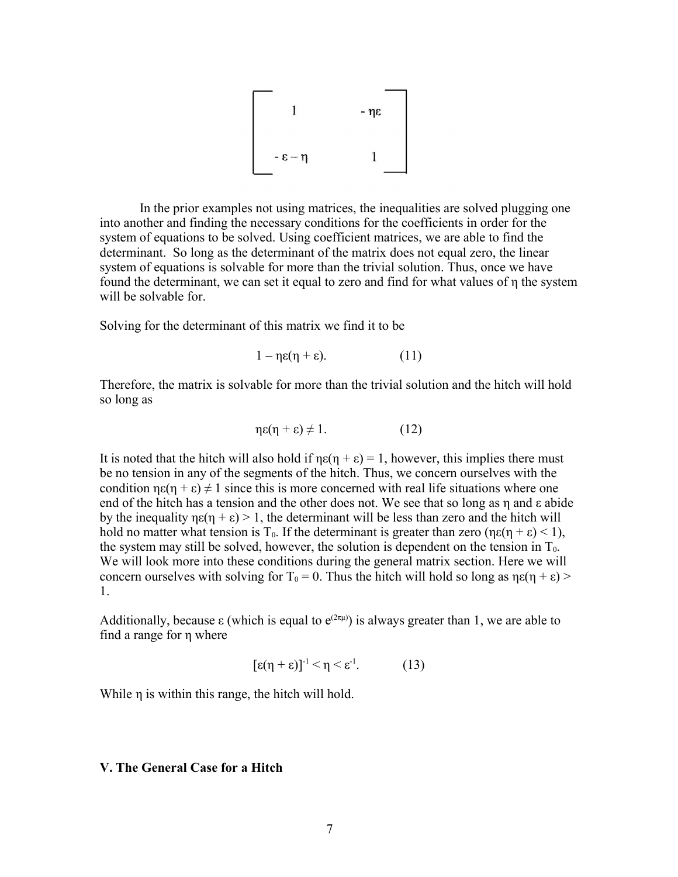

In the prior examples not using matrices, the inequalities are solved plugging one into another and finding the necessary conditions for the coefficients in order for the system of equations to be solved. Using coefficient matrices, we are able to find the determinant. So long as the determinant of the matrix does not equal zero, the linear system of equations is solvable for more than the trivial solution. Thus, once we have found the determinant, we can set it equal to zero and find for what values of η the system will be solvable for.

Solving for the determinant of this matrix we find it to be

$$
1 - \eta \varepsilon (\eta + \varepsilon). \tag{11}
$$

Therefore, the matrix is solvable for more than the trivial solution and the hitch will hold so long as

$$
\eta \varepsilon(\eta + \varepsilon) \neq 1. \tag{12}
$$

It is noted that the hitch will also hold if  $ne(n + \varepsilon) = 1$ , however, this implies there must be no tension in any of the segments of the hitch. Thus, we concern ourselves with the condition  $ne(n + \epsilon) \neq 1$  since this is more concerned with real life situations where one end of the hitch has a tension and the other does not. We see that so long as η and ε abide by the inequality  $\eta \varepsilon(\eta + \varepsilon) > 1$ , the determinant will be less than zero and the hitch will hold no matter what tension is T<sub>0</sub>. If the determinant is greater than zero ( $\eta \varepsilon(\eta + \varepsilon) < 1$ ), the system may still be solved, however, the solution is dependent on the tension in  $T_0$ . We will look more into these conditions during the general matrix section. Here we will concern ourselves with solving for  $T_0 = 0$ . Thus the hitch will hold so long as  $\eta \varepsilon(\eta + \varepsilon)$  > 1.

Additionally, because  $\varepsilon$  (which is equal to  $e^{(2\pi\mu)}$ ) is always greater than 1, we are able to find a range for η where

$$
[\varepsilon(\eta + \varepsilon)]^{-1} < \eta < \varepsilon^{-1}.
$$
 (13)

While η is within this range, the hitch will hold.

## **V. The General Case for a Hitch**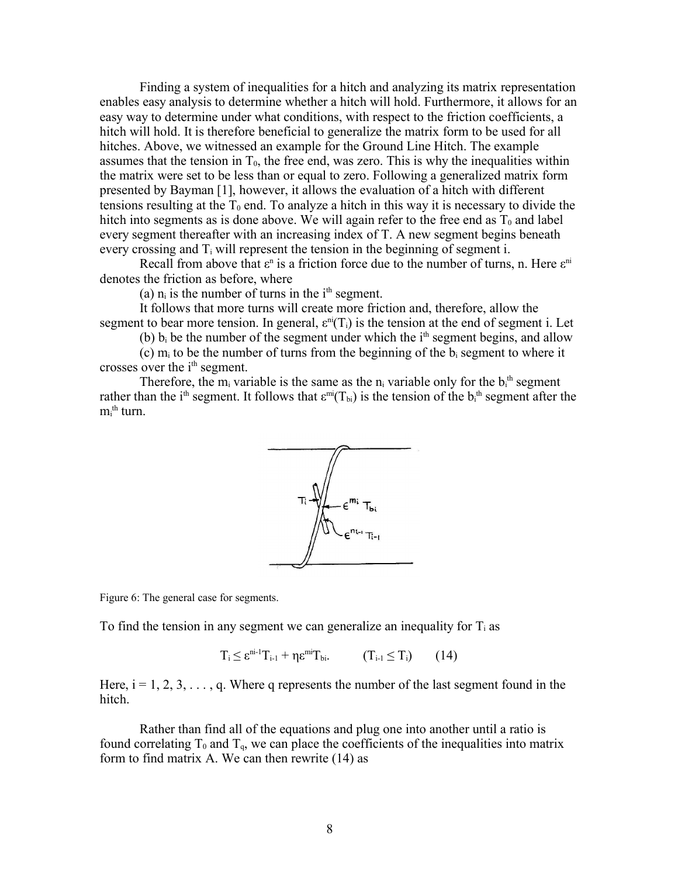Finding a system of inequalities for a hitch and analyzing its matrix representation enables easy analysis to determine whether a hitch will hold. Furthermore, it allows for an easy way to determine under what conditions, with respect to the friction coefficients, a hitch will hold. It is therefore beneficial to generalize the matrix form to be used for all hitches. Above, we witnessed an example for the Ground Line Hitch. The example assumes that the tension in  $T_0$ , the free end, was zero. This is why the inequalities within the matrix were set to be less than or equal to zero. Following a generalized matrix form presented by Bayman [1], however, it allows the evaluation of a hitch with different tensions resulting at the  $T_0$  end. To analyze a hitch in this way it is necessary to divide the hitch into segments as is done above. We will again refer to the free end as  $T_0$  and label every segment thereafter with an increasing index of T. A new segment begins beneath every crossing and  $T_i$  will represent the tension in the beginning of segment i.

Recall from above that  $\varepsilon$ <sup>n</sup> is a friction force due to the number of turns, n. Here  $\varepsilon$ <sup>ni</sup> denotes the friction as before, where

(a)  $n_i$  is the number of turns in the  $i<sup>th</sup>$  segment.

It follows that more turns will create more friction and, therefore, allow the segment to bear more tension. In general,  $\varepsilon^{ni}(T_i)$  is the tension at the end of segment i. Let

(b)  $b_i$  be the number of the segment under which the  $i<sup>th</sup>$  segment begins, and allow

(c)  $m_i$  to be the number of turns from the beginning of the  $b_i$  segment to where it crosses over the *i*<sup>th</sup> segment.

Therefore, the  $m_i$  variable is the same as the  $n_i$  variable only for the  $b_i$ <sup>th</sup> segment rather than the i<sup>th</sup> segment. It follows that  $\varepsilon^{mi}(T_{bi})$  is the tension of the  $b_i^{th}$  segment after the  $m_i^{\textrm{th}}$  turn.



Figure 6: The general case for segments.

To find the tension in any segment we can generalize an inequality for  $T_i$  as

 $T_i \leq \varepsilon^{ni-1} T_{i-1} + \eta \varepsilon^{mi} T_{bi}.$  (T<sub>i-1</sub>  $\leq T_i$ ) (14)

Here,  $i = 1, 2, 3, \ldots, q$ . Where q represents the number of the last segment found in the hitch.

Rather than find all of the equations and plug one into another until a ratio is found correlating  $T_0$  and  $T_q$ , we can place the coefficients of the inequalities into matrix form to find matrix A. We can then rewrite (14) as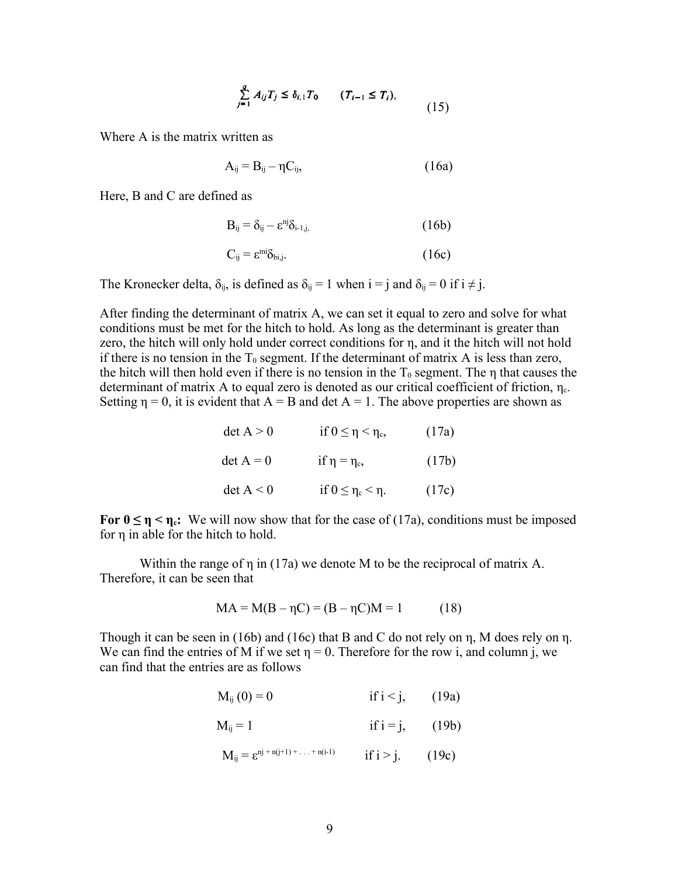$$
\sum_{j=1}^{q} A_{ij} T_j \le \delta_{i,1} T_0 \qquad (T_{i-1} \le T_i),
$$
\n(15)

Where A is the matrix written as

$$
A_{ij} = B_{ij} - \eta C_{ij}, \qquad (16a)
$$

Here, B and C are defined as

$$
B_{ij} = \delta_{ij} - \varepsilon^{nj} \delta_{i-1,j}, \tag{16b}
$$

$$
C_{ij} = \varepsilon^{mi} \delta_{bi,j}.
$$
 (16c)

The Kronecker delta,  $\delta_{ij}$ , is defined as  $\delta_{ij} = 1$  when  $i = j$  and  $\delta_{ij} = 0$  if  $i \neq j$ .

After finding the determinant of matrix A, we can set it equal to zero and solve for what conditions must be met for the hitch to hold. As long as the determinant is greater than zero, the hitch will only hold under correct conditions for η, and it the hitch will not hold if there is no tension in the  $T_0$  segment. If the determinant of matrix A is less than zero, the hitch will then hold even if there is no tension in the  $T_0$  segment. The  $\eta$  that causes the determinant of matrix A to equal zero is denoted as our critical coefficient of friction,  $\eta_c$ . Setting  $\eta = 0$ , it is evident that  $A = B$  and det  $A = 1$ . The above properties are shown as

| $\det A > 0$ | if $0 \leq \eta < \eta_c$   | (17a) |
|--------------|-----------------------------|-------|
| $\det A = 0$ | if $\eta = \eta_c$ ,        | (17b) |
| $\det A < 0$ | if $0 \leq \eta_c < \eta$ . | (17c) |

**For**  $0 \le \eta \le \eta_c$ **: We will now show that for the case of (17a), conditions must be imposed** for η in able for the hitch to hold.

Within the range of η in (17a) we denote M to be the reciprocal of matrix A. Therefore, it can be seen that

$$
MA = M(B - \eta C) = (B - \eta C)M = 1
$$
 (18)

Though it can be seen in (16b) and (16c) that B and C do not rely on η, M does rely on η. We can find the entries of M if we set  $\eta = 0$ . Therefore for the row i, and column j, we can find that the entries are as follows

$$
M_{ij}(0) = 0
$$
 if  $i < j$ , (19a)

$$
M_{ij} = 1 \qquad \qquad \text{if } i = j, \qquad (19b)
$$

$$
M_{ij} = \varepsilon^{nj + n(j+1) + ... + n(i-1)}
$$
 if  $i > j$ . (19c)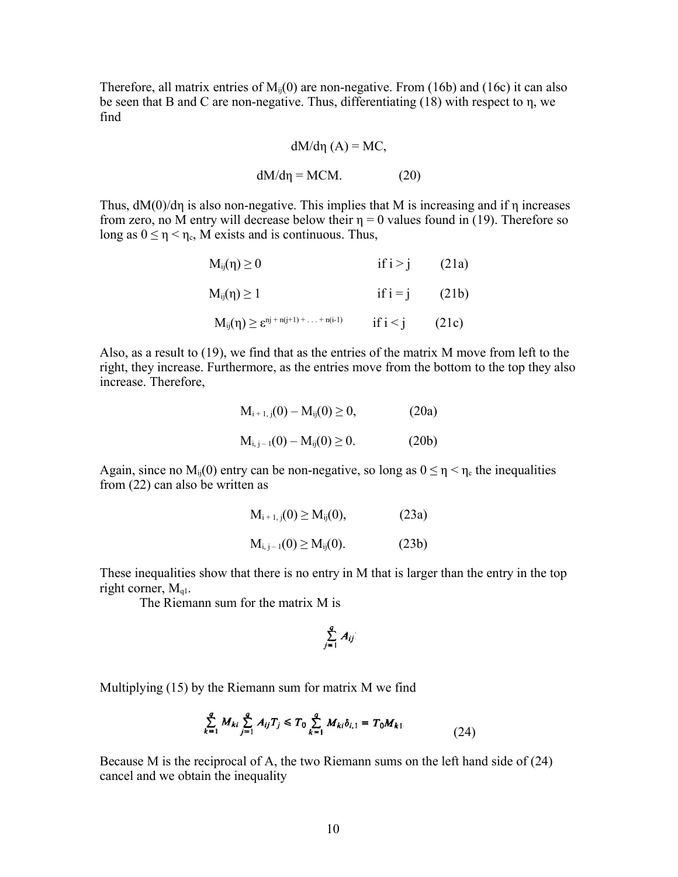Therefore, all matrix entries of  $M_{ii}(0)$  are non-negative. From (16b) and (16c) it can also be seen that B and C are non-negative. Thus, differentiating (18) with respect to η, we find

$$
dM/d\eta\ (A) = MC,
$$

 $dM/d\eta = MCM.$  (20)

Thus,  $dM(0)/d\eta$  is also non-negative. This implies that M is increasing and if  $\eta$  increases from zero, no M entry will decrease below their  $\eta = 0$  values found in (19). Therefore so long as  $0 \le \eta < \eta_c$ , M exists and is continuous. Thus,

| $M_{ij}(\eta) \geq 0$                                  | if $i > j$       | (21a) |
|--------------------------------------------------------|------------------|-------|
| $M_{ij}(\eta) \geq 1$                                  | if $i = j$ (21b) |       |
| $M_{ij}(\eta) \geq \epsilon^{nj + n(j+1) +  + n(i-1)}$ | if $i < j$       | (21c) |

Also, as a result to (19), we find that as the entries of the matrix M move from left to the right, they increase. Furthermore, as the entries move from the bottom to the top they also increase. Therefore,

$$
M_{i+1, j}(0) - M_{ij}(0) \ge 0,
$$
\n(20a)  
\n
$$
M_{i, j-1}(0) - M_{ij}(0) \ge 0.
$$
\n(20b)

Again, since no  $M_{ii}(0)$  entry can be non-negative, so long as  $0 \le \eta < \eta_c$  the inequalities from (22) can also be written as

$$
M_{i+1, j}(0) \ge M_{ij}(0),
$$
 (23a)  

$$
M_{i, j-1}(0) \ge M_{ij}(0).
$$
 (23b)

These inequalities show that there is no entry in M that is larger than the entry in the top right corner,  $M_{ql}$ .

The Riemann sum for the matrix M is

$$
\sum_{j=1}^q A_{ij}
$$

Multiplying (15) by the Riemann sum for matrix M we find

$$
\sum_{k=1}^{q} M_{ki} \sum_{j=1}^{q} A_{ij} T_j \le T_0 \sum_{k=1}^{q} M_{ki} \delta_{i,1} = T_0 M_{k1}.
$$
 (24)

Because M is the reciprocal of A, the two Riemann sums on the left hand side of (24) cancel and we obtain the inequality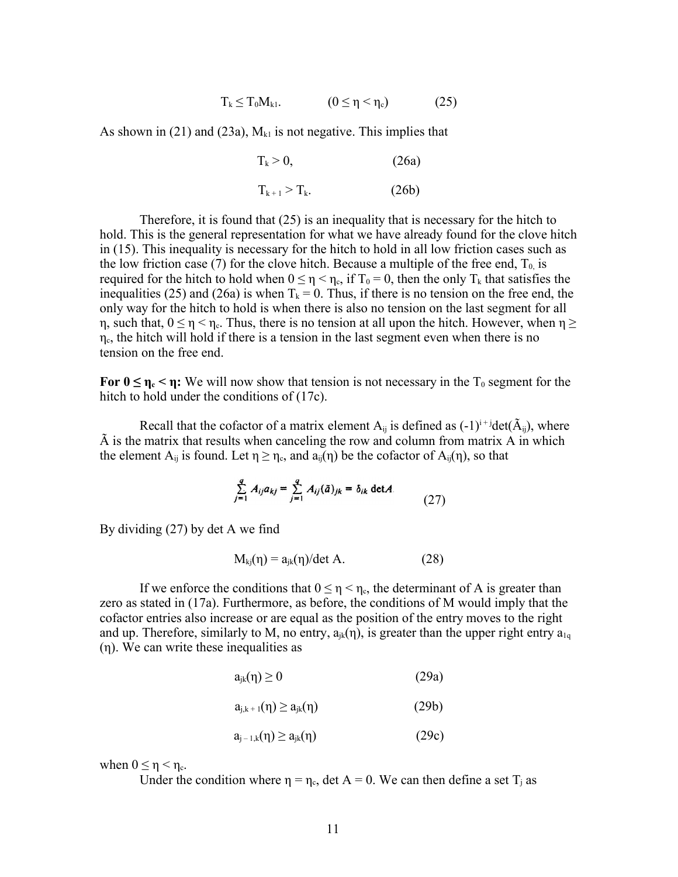$$
T_k \leq T_0 M_{k1}. \qquad (0 \leq \eta < \eta_c) \qquad (25)
$$

As shown in (21) and (23a),  $M_{kl}$  is not negative. This implies that

$$
T_k > 0, \tag{26a}
$$

 $T_{k+1} > T_k.$  (26b)

Therefore, it is found that (25) is an inequality that is necessary for the hitch to hold. This is the general representation for what we have already found for the clove hitch in (15). This inequality is necessary for the hitch to hold in all low friction cases such as the low friction case (7) for the clove hitch. Because a multiple of the free end,  $T_0$  is required for the hitch to hold when  $0 \le \eta < \eta_c$ , if  $T_0 = 0$ , then the only  $T_k$  that satisfies the inequalities (25) and (26a) is when  $T_k = 0$ . Thus, if there is no tension on the free end, the only way for the hitch to hold is when there is also no tension on the last segment for all η, such that,  $0 \le \eta < \eta_c$ . Thus, there is no tension at all upon the hitch. However, when  $\eta \ge$  $\eta_c$ , the hitch will hold if there is a tension in the last segment even when there is no tension on the free end.

**For**  $0 \le \eta_c < \eta$ **: We will now show that tension is not necessary in the T<sub>0</sub> segment for the** hitch to hold under the conditions of (17c).

Recall that the cofactor of a matrix element  $A_{ij}$  is defined as  $(-1)^{i+j}$ det $(\tilde{A}_{ij})$ , where  $\tilde{A}$  is the matrix that results when canceling the row and column from matrix  $\tilde{A}$  in which the element  $A_{ij}$  is found. Let  $\eta \ge \eta_c$ , and  $a_{ij}(\eta)$  be the cofactor of  $A_{ij}(\eta)$ , so that

$$
\sum_{j=1}^{q} A_{ij} a_{kj} = \sum_{j=1}^{q} A_{ij}(\tilde{a})_{jk} = \delta_{ik} \det A
$$
 (27)

By dividing (27) by det A we find

$$
M_{ki}(\eta) = a_{jk}(\eta)/\det A.
$$
 (28)

If we enforce the conditions that  $0 \le \eta < \eta_c$ , the determinant of A is greater than zero as stated in (17a). Furthermore, as before, the conditions of M would imply that the cofactor entries also increase or are equal as the position of the entry moves to the right and up. Therefore, similarly to M, no entry,  $a_{ik}(\eta)$ , is greater than the upper right entry  $a_{1q}$ (η). We can write these inequalities as

$$
a_{jk}(\eta) \ge 0 \tag{29a}
$$

$$
a_{j,k+1}(\eta) \ge a_{jk}(\eta) \tag{29b}
$$

$$
a_{j-1,k}(\eta) \ge a_{jk}(\eta) \tag{29c}
$$

when  $0 \le \eta \le \eta_c$ .

Under the condition where  $\eta = \eta_c$ , det A = 0. We can then define a set T<sub>i</sub> as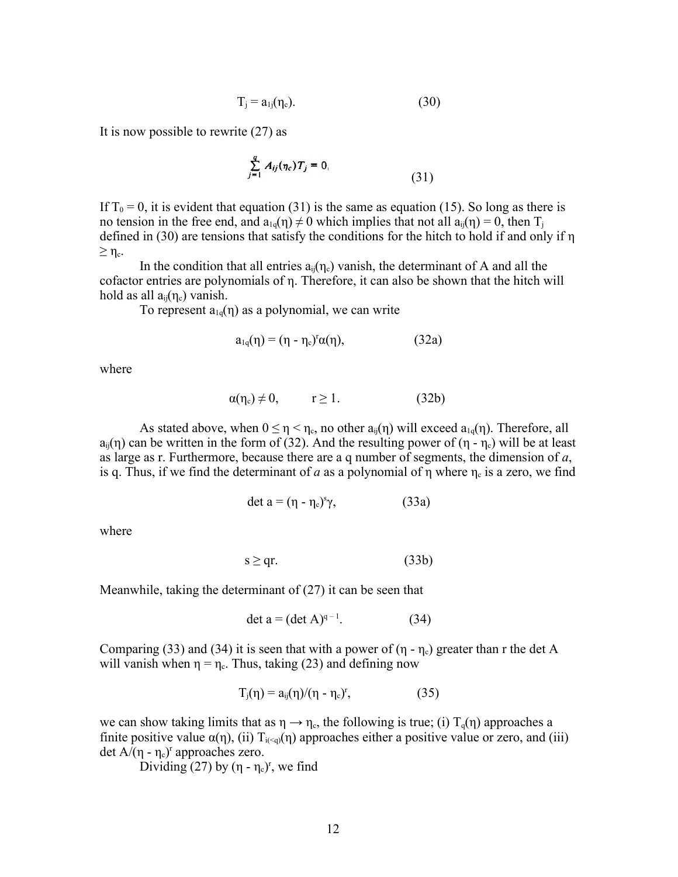$$
T_j = a_{1j}(\eta_c). \tag{30}
$$

It is now possible to rewrite (27) as

$$
\sum_{j=1}^{q} A_{ij}(\eta_c) T_j = 0,
$$
\n(31)

If  $T_0 = 0$ , it is evident that equation (31) is the same as equation (15). So long as there is no tension in the free end, and  $a_{1q}(\eta) \neq 0$  which implies that not all  $a_{ij}(\eta) = 0$ , then  $T_i$ defined in (30) are tensions that satisfy the conditions for the hitch to hold if and only if η  $\geq \eta_{\rm c}$ .

In the condition that all entries  $a_{ii}(\eta_c)$  vanish, the determinant of A and all the cofactor entries are polynomials of η. Therefore, it can also be shown that the hitch will hold as all  $a_{ii}(\eta_c)$  vanish.

To represent  $a_{1q}(\eta)$  as a polynomial, we can write

$$
a_{1q}(\eta) = (\eta - \eta_c)^r \alpha(\eta), \qquad (32a)
$$

where

$$
\alpha(\eta_c) \neq 0, \qquad r \ge 1. \tag{32b}
$$

As stated above, when  $0 \le \eta < \eta_c$ , no other  $a_{ii}(\eta)$  will exceed  $a_{10}(\eta)$ . Therefore, all  $a_{ii}(\eta)$  can be written in the form of (32). And the resulting power of ( $\eta$  -  $\eta_c$ ) will be at least as large as r. Furthermore, because there are a q number of segments, the dimension of *a*, is q. Thus, if we find the determinant of *a* as a polynomial of  $\eta$  where  $\eta_c$  is a zero, we find

$$
\det a = (\eta - \eta_c)^s \gamma, \tag{33a}
$$

where

$$
s \ge qr. \tag{33b}
$$

Meanwhile, taking the determinant of (27) it can be seen that

$$
\det a = (\det A)^{q-1}.
$$
 (34)

Comparing (33) and (34) it is seen that with a power of  $(\eta - \eta_c)$  greater than r the det A will vanish when  $\eta = \eta_c$ . Thus, taking (23) and defining now

$$
T_j(\eta) = a_{ij}(\eta)/(\eta - \eta_c)^r, \qquad (35)
$$

we can show taking limits that as  $\eta \to \eta_c$ , the following is true; (i)  $T_q(\eta)$  approaches a finite positive value  $\alpha(\eta)$ , (ii)  $T_{i(\alpha)}(\eta)$  approaches either a positive value or zero, and (iii) det  $A/(\eta - \eta_c)^r$  approaches zero.

Dividing (27) by  $(\eta - \eta_c)^r$ , we find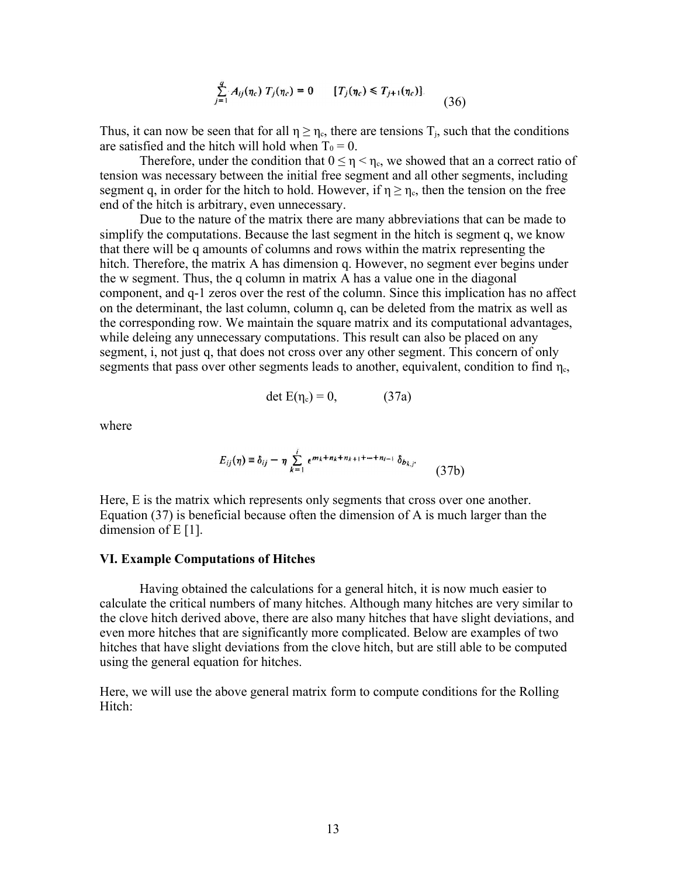$$
\sum_{j=1}^{q} A_{ij}(\eta_c) T_j(\eta_c) = 0 \qquad [T_j(\eta_c) \le T_{j+1}(\eta_c)]. \tag{36}
$$

Thus, it can now be seen that for all  $\eta \ge \eta_c$ , there are tensions  $T_i$ , such that the conditions are satisfied and the hitch will hold when  $T_0 = 0$ .

Therefore, under the condition that  $0 \le \eta < \eta_c$ , we showed that an a correct ratio of tension was necessary between the initial free segment and all other segments, including segment q, in order for the hitch to hold. However, if  $\eta \ge \eta_c$ , then the tension on the free end of the hitch is arbitrary, even unnecessary.

Due to the nature of the matrix there are many abbreviations that can be made to simplify the computations. Because the last segment in the hitch is segment q, we know that there will be q amounts of columns and rows within the matrix representing the hitch. Therefore, the matrix A has dimension q. However, no segment ever begins under the w segment. Thus, the q column in matrix A has a value one in the diagonal component, and q-1 zeros over the rest of the column. Since this implication has no affect on the determinant, the last column, column q, can be deleted from the matrix as well as the corresponding row. We maintain the square matrix and its computational advantages, while deleing any unnecessary computations. This result can also be placed on any segment, i, not just q, that does not cross over any other segment. This concern of only segments that pass over other segments leads to another, equivalent, condition to find  $\eta_c$ ,

$$
\det E(\eta_c) = 0, \tag{37a}
$$

where

$$
E_{ij}(\eta) \equiv \delta_{ij} - \eta \sum_{k=1}^{i} \epsilon^{mk+n_k+n_{k+1}+\dots+n_{i-1}} \delta_{b_{k,j}} \qquad (37b)
$$

Here, E is the matrix which represents only segments that cross over one another. Equation (37) is beneficial because often the dimension of A is much larger than the dimension of E [1].

#### **VI. Example Computations of Hitches**

Having obtained the calculations for a general hitch, it is now much easier to calculate the critical numbers of many hitches. Although many hitches are very similar to the clove hitch derived above, there are also many hitches that have slight deviations, and even more hitches that are significantly more complicated. Below are examples of two hitches that have slight deviations from the clove hitch, but are still able to be computed using the general equation for hitches.

Here, we will use the above general matrix form to compute conditions for the Rolling Hitch: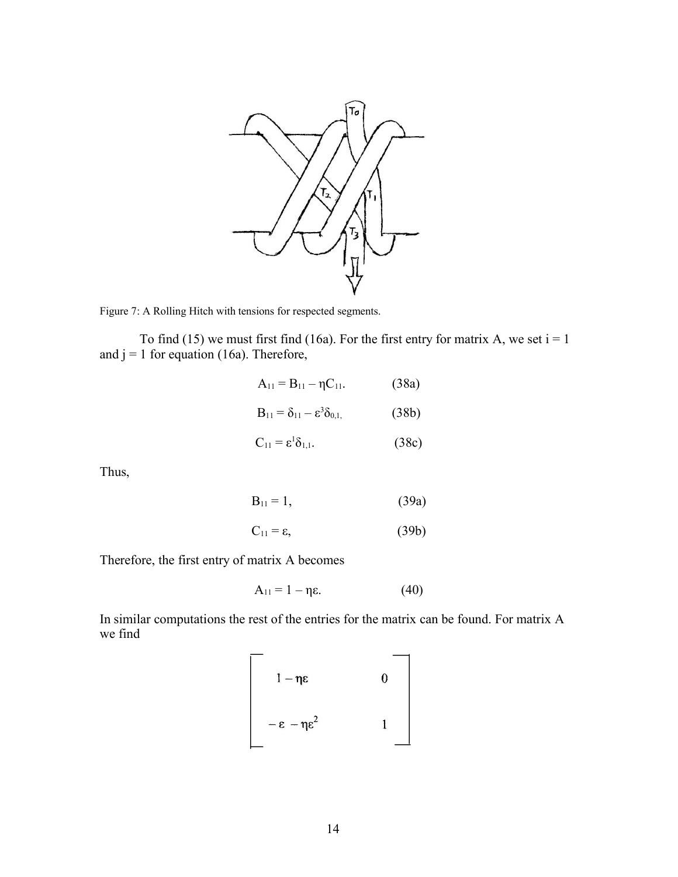

Figure 7: A Rolling Hitch with tensions for respected segments.

To find (15) we must first find (16a). For the first entry for matrix A, we set  $i = 1$ and  $j = 1$  for equation (16a). Therefore,

$$
A_{11} = B_{11} - \eta C_{11}.
$$
 (38a)

$$
B_{11} = \delta_{11} - \varepsilon^3 \delta_{0,1,}
$$
 (38b)

$$
C_{11} = \varepsilon^1 \delta_{1,1}.
$$
 (38c)

Thus,

$$
B_{11} = 1, \t\t(39a)
$$

$$
C_{11} = \varepsilon, \tag{39b}
$$

Therefore, the first entry of matrix A becomes

$$
A_{11} = 1 - \eta \varepsilon. \tag{40}
$$

In similar computations the rest of the entries for the matrix can be found. For matrix A we find

$$
\begin{bmatrix}\n1-\eta \varepsilon & 0 \\
-\varepsilon-\eta \varepsilon^2 & 1\n\end{bmatrix}
$$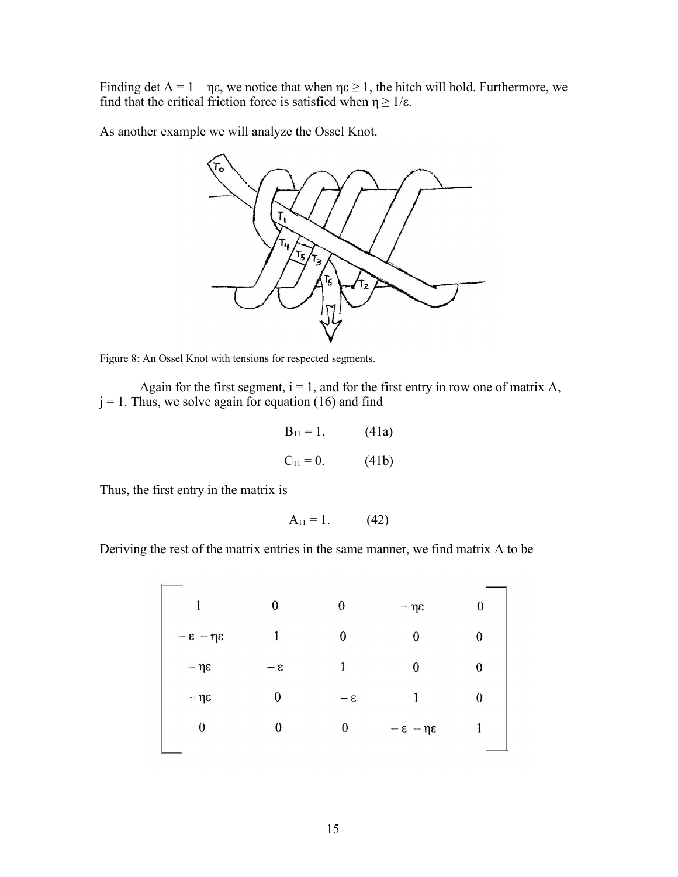Finding det  $A = 1 - \eta \varepsilon$ , we notice that when  $\eta \varepsilon \ge 1$ , the hitch will hold. Furthermore, we find that the critical friction force is satisfied when  $\eta \ge 1/\varepsilon$ .

As another example we will analyze the Ossel Knot.



Figure 8: An Ossel Knot with tensions for respected segments.

Again for the first segment,  $i = 1$ , and for the first entry in row one of matrix A,  $j = 1$ . Thus, we solve again for equation (16) and find

$$
B_{11} = 1, \t(41a)
$$
  

$$
C_{11} = 0. \t(41b)
$$

Thus, the first entry in the matrix is

$$
A_{11} = 1. \t(42)
$$

Deriving the rest of the matrix entries in the same manner, we find matrix A to be

| 1                           | 0     | 0           | $-\eta\epsilon$             | 0 |
|-----------------------------|-------|-------------|-----------------------------|---|
| $-\epsilon - \eta \epsilon$ | 1     | 0           | 0                           | 0 |
| $-\eta \varepsilon$         | $3 -$ | 1           | 0                           | 0 |
| $-\eta\epsilon$             | 0     | $-\epsilon$ | ł                           | 0 |
| $\theta$                    | 0     | 0           | $-\epsilon - \eta \epsilon$ |   |
|                             |       |             |                             |   |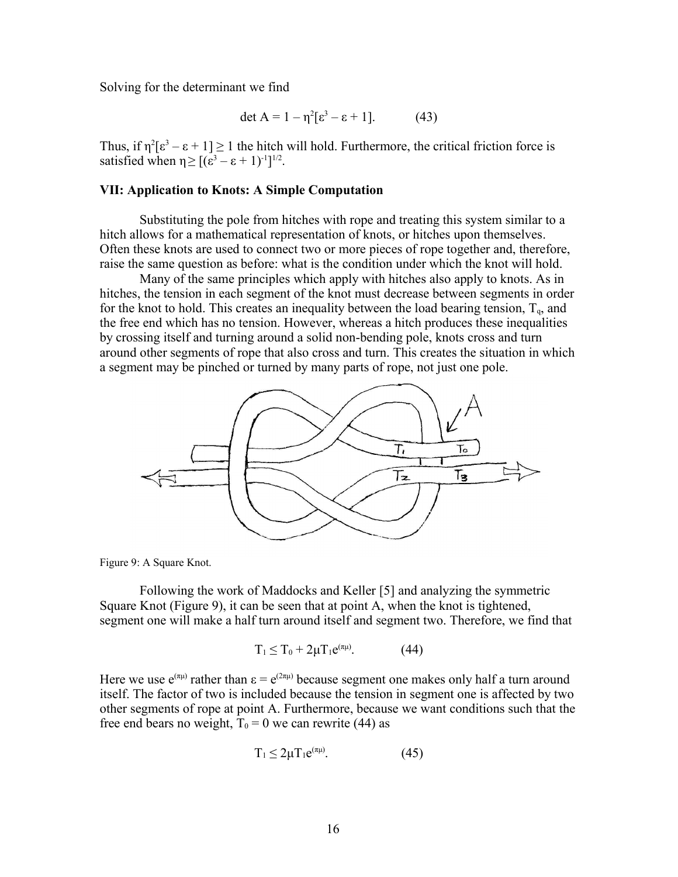Solving for the determinant we find

$$
\det A = 1 - \eta^2 [\varepsilon^3 - \varepsilon + 1]. \tag{43}
$$

Thus, if  $\eta^2[\epsilon^3 - \epsilon + 1] \ge 1$  the hitch will hold. Furthermore, the critical friction force is satisfied when  $\eta \geq [(\varepsilon^3 - \varepsilon + 1)^{-1}]^{1/2}$ .

# **VII: Application to Knots: A Simple Computation**

Substituting the pole from hitches with rope and treating this system similar to a hitch allows for a mathematical representation of knots, or hitches upon themselves. Often these knots are used to connect two or more pieces of rope together and, therefore, raise the same question as before: what is the condition under which the knot will hold.

Many of the same principles which apply with hitches also apply to knots. As in hitches, the tension in each segment of the knot must decrease between segments in order for the knot to hold. This creates an inequality between the load bearing tension,  $T_{q}$ , and the free end which has no tension. However, whereas a hitch produces these inequalities by crossing itself and turning around a solid non-bending pole, knots cross and turn around other segments of rope that also cross and turn. This creates the situation in which a segment may be pinched or turned by many parts of rope, not just one pole.



Figure 9: A Square Knot.

Following the work of Maddocks and Keller [5] and analyzing the symmetric Square Knot (Figure 9), it can be seen that at point A, when the knot is tightened, segment one will make a half turn around itself and segment two. Therefore, we find that

$$
T_1 \leq T_0 + 2\mu T_1 e^{(\pi\mu)}.\tag{44}
$$

Here we use  $e^{(\pi\mu)}$  rather than  $\varepsilon = e^{(2\pi\mu)}$  because segment one makes only half a turn around itself. The factor of two is included because the tension in segment one is affected by two other segments of rope at point A. Furthermore, because we want conditions such that the free end bears no weight,  $T_0 = 0$  we can rewrite (44) as

$$
T_1 \le 2\mu T_1 e^{(\pi\mu)}.\tag{45}
$$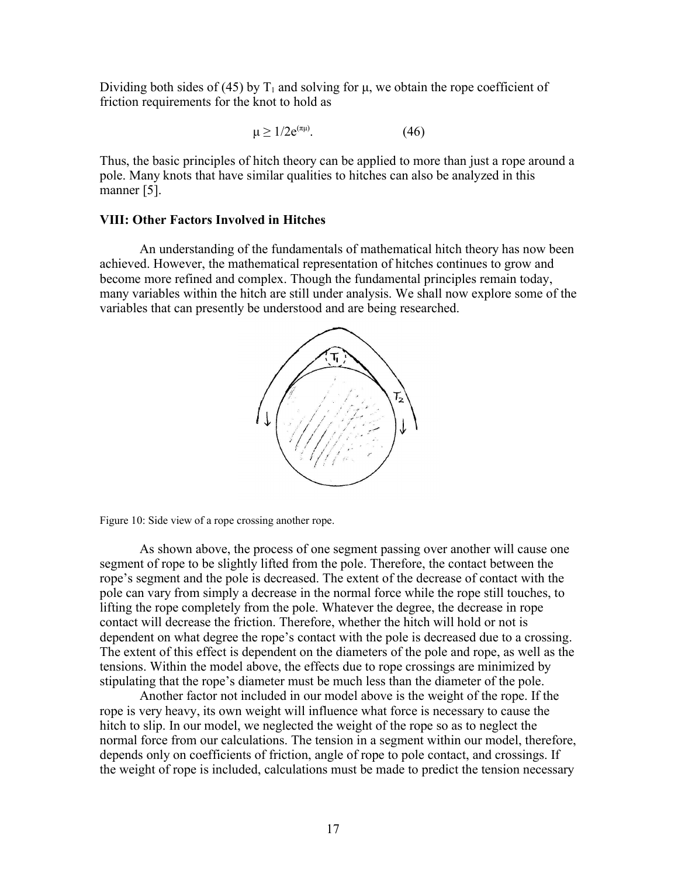Dividing both sides of (45) by  $T_1$  and solving for  $\mu$ , we obtain the rope coefficient of friction requirements for the knot to hold as

> $\mu \geq 1/2e^{(\pi\mu)}$  $(46)$

Thus, the basic principles of hitch theory can be applied to more than just a rope around a pole. Many knots that have similar qualities to hitches can also be analyzed in this manner [5].

### **VIII: Other Factors Involved in Hitches**

An understanding of the fundamentals of mathematical hitch theory has now been achieved. However, the mathematical representation of hitches continues to grow and become more refined and complex. Though the fundamental principles remain today, many variables within the hitch are still under analysis. We shall now explore some of the variables that can presently be understood and are being researched.





As shown above, the process of one segment passing over another will cause one segment of rope to be slightly lifted from the pole. Therefore, the contact between the rope's segment and the pole is decreased. The extent of the decrease of contact with the pole can vary from simply a decrease in the normal force while the rope still touches, to lifting the rope completely from the pole. Whatever the degree, the decrease in rope contact will decrease the friction. Therefore, whether the hitch will hold or not is dependent on what degree the rope's contact with the pole is decreased due to a crossing. The extent of this effect is dependent on the diameters of the pole and rope, as well as the tensions. Within the model above, the effects due to rope crossings are minimized by stipulating that the rope's diameter must be much less than the diameter of the pole.

Another factor not included in our model above is the weight of the rope. If the rope is very heavy, its own weight will influence what force is necessary to cause the hitch to slip. In our model, we neglected the weight of the rope so as to neglect the normal force from our calculations. The tension in a segment within our model, therefore, depends only on coefficients of friction, angle of rope to pole contact, and crossings. If the weight of rope is included, calculations must be made to predict the tension necessary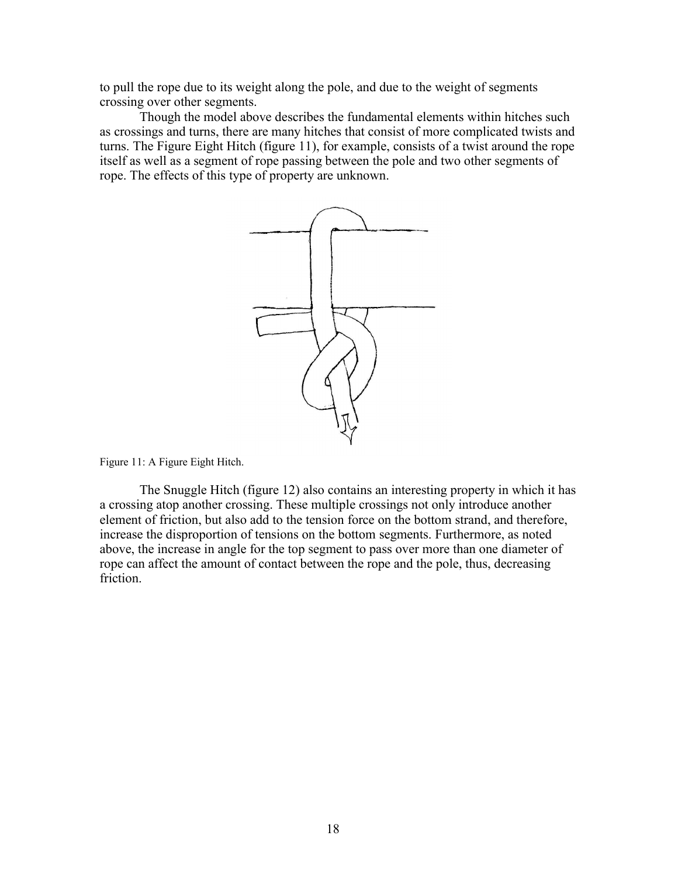to pull the rope due to its weight along the pole, and due to the weight of segments crossing over other segments.

Though the model above describes the fundamental elements within hitches such as crossings and turns, there are many hitches that consist of more complicated twists and turns. The Figure Eight Hitch (figure 11), for example, consists of a twist around the rope itself as well as a segment of rope passing between the pole and two other segments of rope. The effects of this type of property are unknown.



Figure 11: A Figure Eight Hitch.

The Snuggle Hitch (figure 12) also contains an interesting property in which it has a crossing atop another crossing. These multiple crossings not only introduce another element of friction, but also add to the tension force on the bottom strand, and therefore, increase the disproportion of tensions on the bottom segments. Furthermore, as noted above, the increase in angle for the top segment to pass over more than one diameter of rope can affect the amount of contact between the rope and the pole, thus, decreasing friction.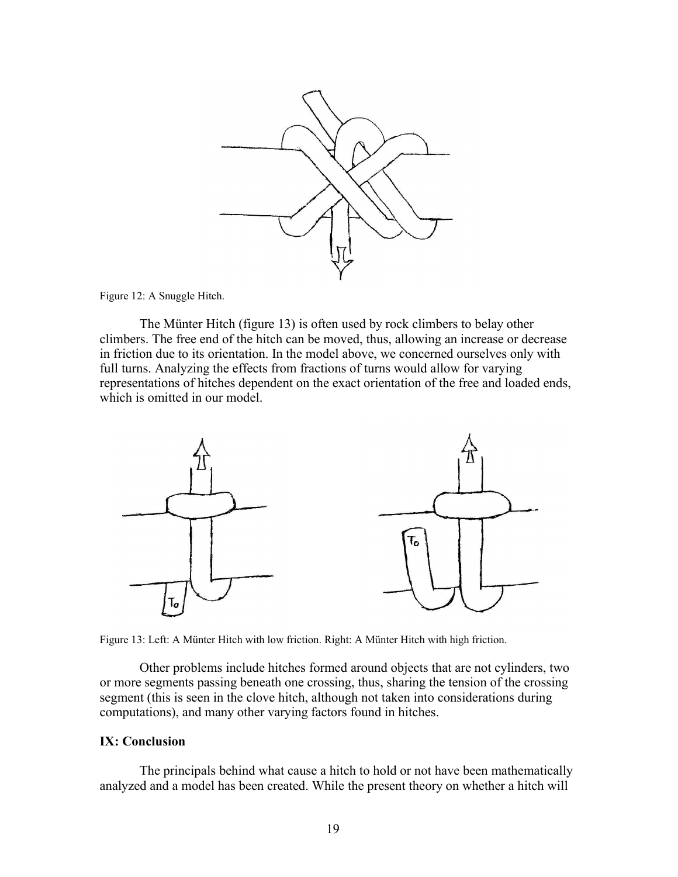

Figure 12: A Snuggle Hitch.

The Münter Hitch (figure 13) is often used by rock climbers to belay other climbers. The free end of the hitch can be moved, thus, allowing an increase or decrease in friction due to its orientation. In the model above, we concerned ourselves only with full turns. Analyzing the effects from fractions of turns would allow for varying representations of hitches dependent on the exact orientation of the free and loaded ends, which is omitted in our model



Figure 13: Left: A Münter Hitch with low friction. Right: A Münter Hitch with high friction.

Other problems include hitches formed around objects that are not cylinders, two or more segments passing beneath one crossing, thus, sharing the tension of the crossing segment (this is seen in the clove hitch, although not taken into considerations during computations), and many other varying factors found in hitches.

# **IX: Conclusion**

The principals behind what cause a hitch to hold or not have been mathematically analyzed and a model has been created. While the present theory on whether a hitch will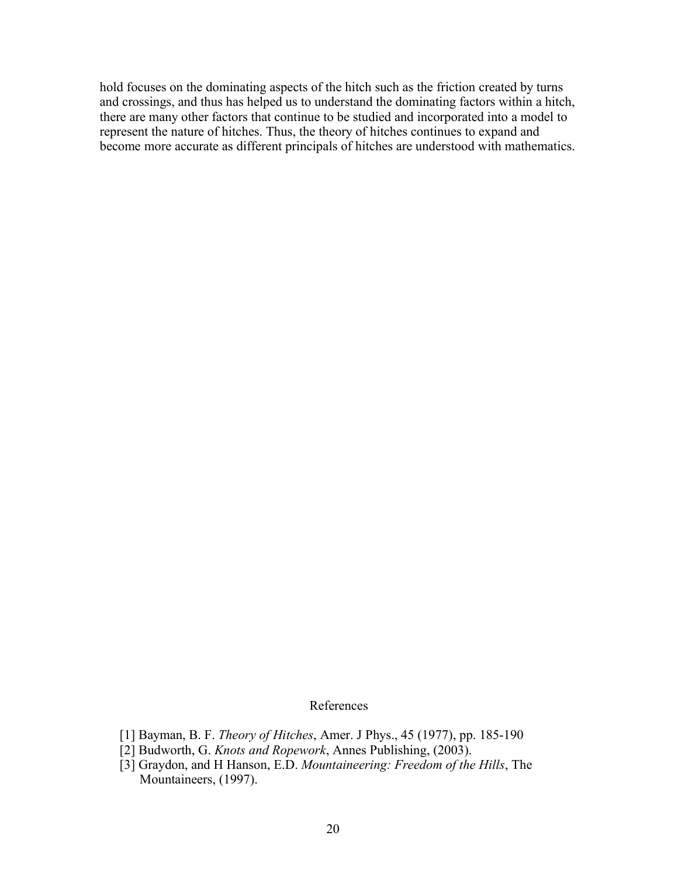hold focuses on the dominating aspects of the hitch such as the friction created by turns and crossings, and thus has helped us to understand the dominating factors within a hitch, there are many other factors that continue to be studied and incorporated into a model to represent the nature of hitches. Thus, the theory of hitches continues to expand and become more accurate as different principals of hitches are understood with mathematics.

### References

- [1] Bayman, B. F. *Theory of Hitches*, Amer. J Phys., 45 (1977), pp. 185-190
- [2] Budworth, G. *Knots and Ropework*, Annes Publishing, (2003).
- [3] Graydon, and H Hanson, E.D. *Mountaineering: Freedom of the Hills*, The Mountaineers, (1997).